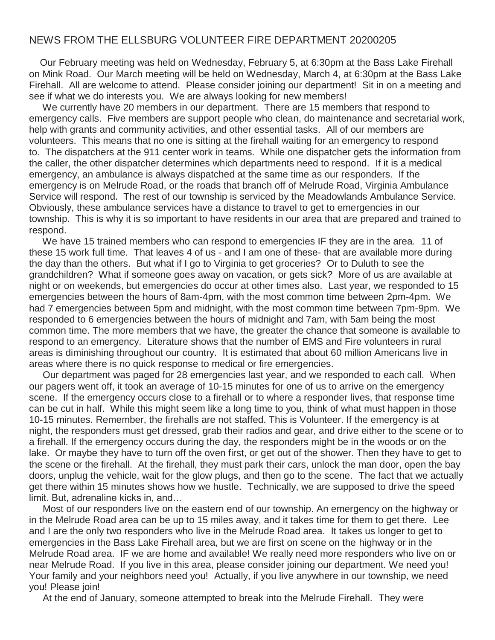## NEWS FROM THE ELLSBURG VOLUNTEER FIRE DEPARTMENT 20200205

Our February meeting was held on Wednesday, February 5, at 6:30pm at the Bass Lake Firehall on Mink Road. Our March meeting will be held on Wednesday, March 4, at 6:30pm at the Bass Lake Firehall. All are welcome to attend. Please consider joining our department! Sit in on a meeting and see if what we do interests you. We are always looking for new members!

We currently have 20 members in our department. There are 15 members that respond to emergency calls. Five members are support people who clean, do maintenance and secretarial work, help with grants and community activities, and other essential tasks. All of our members are volunteers. This means that no one is sitting at the firehall waiting for an emergency to respond to. The dispatchers at the 911 center work in teams. While one dispatcher gets the information from the caller, the other dispatcher determines which departments need to respond. If it is a medical emergency, an ambulance is always dispatched at the same time as our responders. If the emergency is on Melrude Road, or the roads that branch off of Melrude Road, Virginia Ambulance Service will respond. The rest of our township is serviced by the Meadowlands Ambulance Service. Obviously, these ambulance services have a distance to travel to get to emergencies in our township. This is why it is so important to have residents in our area that are prepared and trained to respond.

We have 15 trained members who can respond to emergencies IF they are in the area. 11 of these 15 work full time. That leaves 4 of us - and I am one of these- that are available more during the day than the others. But what if I go to Virginia to get groceries? Or to Duluth to see the grandchildren? What if someone goes away on vacation, or gets sick? More of us are available at night or on weekends, but emergencies do occur at other times also. Last year, we responded to 15 emergencies between the hours of 8am-4pm, with the most common time between 2pm-4pm. We had 7 emergencies between 5pm and midnight, with the most common time between 7pm-9pm. We responded to 6 emergencies between the hours of midnight and 7am, with 5am being the most common time. The more members that we have, the greater the chance that someone is available to respond to an emergency. Literature shows that the number of EMS and Fire volunteers in rural areas is diminishing throughout our country. It is estimated that about 60 million Americans live in areas where there is no quick response to medical or fire emergencies.

Our department was paged for 28 emergencies last year, and we responded to each call. When our pagers went off, it took an average of 10-15 minutes for one of us to arrive on the emergency scene. If the emergency occurs close to a firehall or to where a responder lives, that response time can be cut in half. While this might seem like a long time to you, think of what must happen in those 10-15 minutes. Remember, the firehalls are not staffed. This is Volunteer. If the emergency is at night, the responders must get dressed, grab their radios and gear, and drive either to the scene or to a firehall. If the emergency occurs during the day, the responders might be in the woods or on the lake. Or maybe they have to turn off the oven first, or get out of the shower. Then they have to get to the scene or the firehall. At the firehall, they must park their cars, unlock the man door, open the bay doors, unplug the vehicle, wait for the glow plugs, and then go to the scene. The fact that we actually get there within 15 minutes shows how we hustle. Technically, we are supposed to drive the speed limit. But, adrenaline kicks in, and…

Most of our responders live on the eastern end of our township. An emergency on the highway or in the Melrude Road area can be up to 15 miles away, and it takes time for them to get there. Lee and I are the only two responders who live in the Melrude Road area. It takes us longer to get to emergencies in the Bass Lake Firehall area, but we are first on scene on the highway or in the Melrude Road area. IF we are home and available! We really need more responders who live on or near Melrude Road. If you live in this area, please consider joining our department. We need you! Your family and your neighbors need you! Actually, if you live anywhere in our township, we need you! Please join!

At the end of January, someone attempted to break into the Melrude Firehall. They were